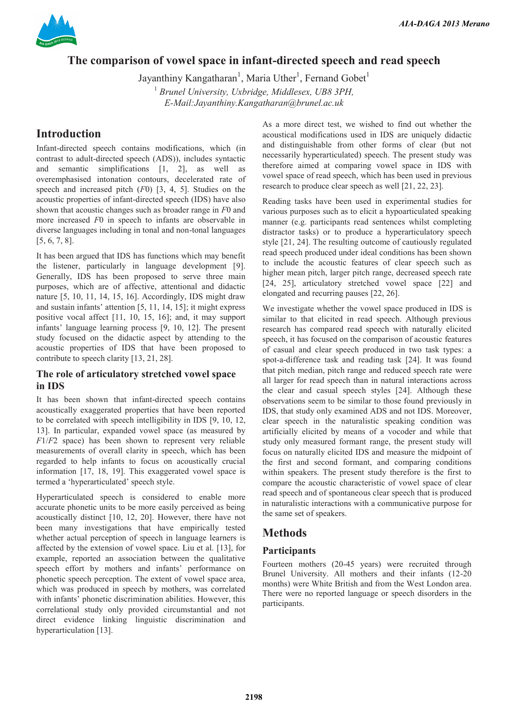

# **The comparison of vowel space in infant-directed speech and read speech**

Jayanthiny Kangatharan<sup>1</sup>, Maria Uther<sup>1</sup>, Fernand Gobet<sup>1</sup> <sup>1</sup> Brunel University, Uxbridge, Middlesex, UB8 3PH, *E-Mail:Jayanthiny.Kangatharan@brunel.ac.uk* 

# **Introduction**

Infant-directed speech contains modifications, which (in contrast to adult-directed speech (ADS)), includes syntactic and semantic simplifications [1, 2], as well as overemphasised intonation contours, decelerated rate of speech and increased pitch (*F*0) [3, 4, 5]. Studies on the acoustic properties of infant-directed speech (IDS) have also shown that acoustic changes such as broader range in *F*0 and more increased *F*0 in speech to infants are observable in diverse languages including in tonal and non-tonal languages [5, 6, 7, 8].

It has been argued that IDS has functions which may benefit the listener, particularly in language development [9]. Generally, IDS has been proposed to serve three main purposes, which are of affective, attentional and didactic nature [5, 10, 11, 14, 15, 16]. Accordingly, IDS might draw and sustain infants' attention  $[5, 11, 14, 15]$ ; it might express positive vocal affect [11, 10, 15, 16]; and, it may support infants' language learning process [9, 10, 12]. The present study focused on the didactic aspect by attending to the acoustic properties of IDS that have been proposed to contribute to speech clarity [13, 21, 28].

## **The role of articulatory stretched vowel space in IDS**

It has been shown that infant-directed speech contains acoustically exaggerated properties that have been reported to be correlated with speech intelligibility in IDS [9, 10, 12, 13]. In particular, expanded vowel space (as measured by *F*1/*F*2 space) has been shown to represent very reliable measurements of overall clarity in speech, which has been regarded to help infants to focus on acoustically crucial information [17, 18, 19]. This exaggerated vowel space is termed a 'hyperarticulated' speech style.

Hyperarticulated speech is considered to enable more accurate phonetic units to be more easily perceived as being acoustically distinct [10, 12, 20]. However, there have not been many investigations that have empirically tested whether actual perception of speech in language learners is affected by the extension of vowel space. Liu et al. [13], for example, reported an association between the qualitative speech effort by mothers and infants' performance on phonetic speech perception. The extent of vowel space area, which was produced in speech by mothers, was correlated with infants' phonetic discrimination abilities. However, this correlational study only provided circumstantial and not direct evidence linking linguistic discrimination and hyperarticulation [13].

As a more direct test, we wished to find out whether the acoustical modifications used in IDS are uniquely didactic and distinguishable from other forms of clear (but not necessarily hyperarticulated) speech. The present study was therefore aimed at comparing vowel space in IDS with vowel space of read speech, which has been used in previous research to produce clear speech as well [21, 22, 23].

Reading tasks have been used in experimental studies for various purposes such as to elicit a hypoarticulated speaking manner (e.g. participants read sentences whilst completing distractor tasks) or to produce a hyperarticulatory speech style [21, 24]. The resulting outcome of cautiously regulated read speech produced under ideal conditions has been shown to include the acoustic features of clear speech such as higher mean pitch, larger pitch range, decreased speech rate [24, 25], articulatory stretched vowel space [22] and elongated and recurring pauses [22, 26].

We investigate whether the vowel space produced in IDS is similar to that elicited in read speech. Although previous research has compared read speech with naturally elicited speech, it has focused on the comparison of acoustic features of casual and clear speech produced in two task types: a spot-a-difference task and reading task [24]. It was found that pitch median, pitch range and reduced speech rate were all larger for read speech than in natural interactions across the clear and casual speech styles [24]. Although these observations seem to be similar to those found previously in IDS, that study only examined ADS and not IDS. Moreover, clear speech in the naturalistic speaking condition was artificially elicited by means of a vocoder and while that study only measured formant range, the present study will focus on naturally elicited IDS and measure the midpoint of the first and second formant, and comparing conditions within speakers. The present study therefore is the first to compare the acoustic characteristic of vowel space of clear read speech and of spontaneous clear speech that is produced in naturalistic interactions with a communicative purpose for the same set of speakers.

# **Methods**

## **Participants**

Fourteen mothers (20-45 years) were recruited through Brunel University. All mothers and their infants (12-20 months) were White British and from the West London area. There were no reported language or speech disorders in the participants.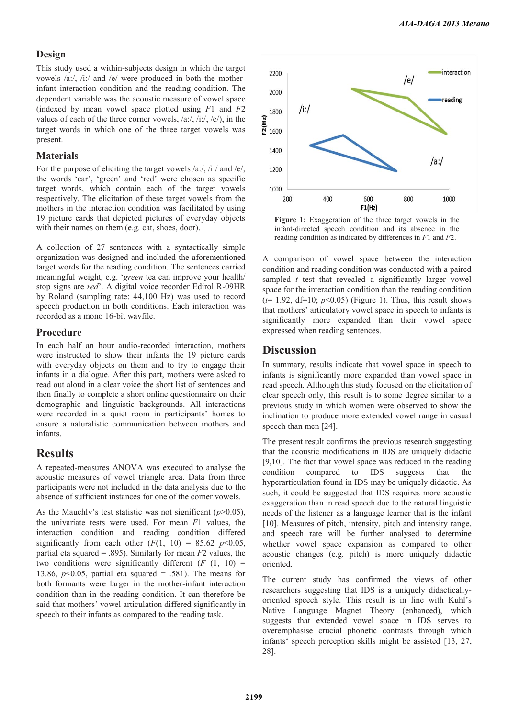#### **Design**

This study used a within-subjects design in which the target vowels /a:/, /i:/ and /e/ were produced in both the motherinfant interaction condition and the reading condition. The dependent variable was the acoustic measure of vowel space (indexed by mean vowel space plotted using *F*1 and *F*2 values of each of the three corner vowels,  $\langle a: \rangle$ ,  $\langle i: \rangle$ ,  $\langle e \rangle$ , in the target words in which one of the three target vowels was present.

### **Materials**

For the purpose of eliciting the target vowels /a:/, /i:/ and /e/, the words 'car', 'green' and 'red' were chosen as specific target words, which contain each of the target vowels respectively. The elicitation of these target vowels from the mothers in the interaction condition was facilitated by using 19 picture cards that depicted pictures of everyday objects with their names on them (e.g. cat, shoes, door).

A collection of 27 sentences with a syntactically simple organization was designed and included the aforementioned target words for the reading condition. The sentences carried meaningful weight, e.g. 'green tea can improve your health/ stop signs are *red*\*. A digital voice recorder Edirol R-09HR by Roland (sampling rate: 44,100 Hz) was used to record speech production in both conditions. Each interaction was recorded as a mono 16-bit wavfile.

#### **Procedure**

In each half an hour audio-recorded interaction, mothers were instructed to show their infants the 19 picture cards with everyday objects on them and to try to engage their infants in a dialogue. After this part, mothers were asked to read out aloud in a clear voice the short list of sentences and then finally to complete a short online questionnaire on their demographic and linguistic backgrounds. All interactions were recorded in a quiet room in participants' homes to ensure a naturalistic communication between mothers and infants.

### **Results**

A repeated-measures ANOVA was executed to analyse the acoustic measures of vowel triangle area. Data from three participants were not included in the data analysis due to the absence of sufficient instances for one of the corner vowels.

As the Mauchly's test statistic was not significant  $(p>0.05)$ , the univariate tests were used. For mean *F*1 values, the interaction condition and reading condition differed significantly from each other  $(F(1, 10) = 85.62 \text{ } p<0.05,$ partial eta squared = .895). Similarly for mean *F*2 values, the two conditions were significantly different  $(F (1, 10))$  = 13.86, *p*<0.05, partial eta squared = .581). The means for both formants were larger in the mother-infant interaction condition than in the reading condition. It can therefore be said that mothers' vowel articulation differed significantly in speech to their infants as compared to the reading task.



Figure 1: Exaggeration of the three target vowels in the infant-directed speech condition and its absence in the reading condition as indicated by differences in *F*1 and *F*2.

A comparison of vowel space between the interaction condition and reading condition was conducted with a paired sampled *t* test that revealed a significantly larger vowel space for the interaction condition than the reading condition  $(t= 1.92, df=10; p<0.05)$  (Figure 1). Thus, this result shows that mothers' articulatory vowel space in speech to infants is significantly more expanded than their vowel space expressed when reading sentences.

# **Discussion**

In summary, results indicate that vowel space in speech to infants is significantly more expanded than vowel space in read speech. Although this study focused on the elicitation of clear speech only, this result is to some degree similar to a previous study in which women were observed to show the inclination to produce more extended vowel range in casual speech than men [24].

The present result confirms the previous research suggesting that the acoustic modifications in IDS are uniquely didactic [9,10]. The fact that vowel space was reduced in the reading condition compared to IDS suggests that the hyperarticulation found in IDS may be uniquely didactic. As such, it could be suggested that IDS requires more acoustic exaggeration than in read speech due to the natural linguistic needs of the listener as a language learner that is the infant [10]. Measures of pitch, intensity, pitch and intensity range, and speech rate will be further analysed to determine whether vowel space expansion as compared to other acoustic changes (e.g. pitch) is more uniquely didactic oriented.

The current study has confirmed the views of other researchers suggesting that IDS is a uniquely didacticallyoriented speech style. This result is in line with Kuhl\*s Native Language Magnet Theory (enhanced), which suggests that extended vowel space in IDS serves to overemphasise crucial phonetic contrasts through which infants' speech perception skills might be assisted  $[13, 27,$ 28].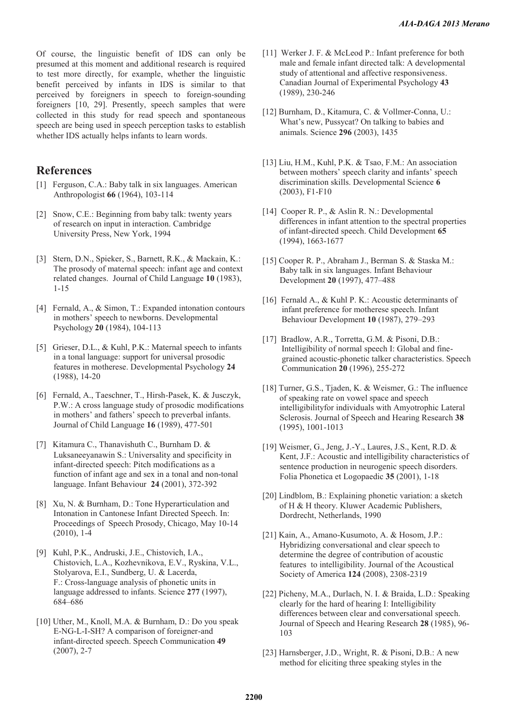Of course, the linguistic benefit of IDS can only be presumed at this moment and additional research is required to test more directly, for example, whether the linguistic benefit perceived by infants in IDS is similar to that perceived by foreigners in speech to foreign-sounding foreigners [10, 29]. Presently, speech samples that were collected in this study for read speech and spontaneous speech are being used in speech perception tasks to establish whether IDS actually helps infants to learn words.

## **References**

- [1] Ferguson, C.A.: Baby talk in six languages. American Anthropologist **66** (1964), 103-114
- [2] Snow, C.E.: Beginning from baby talk: twenty years of research on input in interaction. Cambridge University Press, New York, 1994
- [3] Stern, D.N., Spieker, S., Barnett, R.K., & Mackain, K.: The prosody of maternal speech: infant age and context related changes. Journal of Child Language **10** (1983), 1-15
- [4] Fernald, A., & Simon, T.: Expanded intonation contours in mothers' speech to newborns. Developmental Psychology **20** (1984), 104-113
- [5] Grieser, D.L., & Kuhl, P.K.: Maternal speech to infants in a tonal language: support for universal prosodic features in motherese. Developmental Psychology **24** (1988), 14-20
- [6] Fernald, A., Taeschner, T., Hirsh-Pasek, K. & Jusczyk, P.W.: A cross language study of prosodic modifications in mothers' and fathers' speech to preverbal infants. Journal of Child Language **16** (1989), 477-501
- [7] Kitamura C., Thanavishuth C., Burnham D. & Luksaneeyanawin S.: Universality and specificity in infant-directed speech: Pitch modifications as a function of infant age and sex in a tonal and non-tonal language. Infant Behaviour **24** (2001), 372-392
- [8] Xu, N. & Burnham, D.: Tone Hyperarticulation and Intonation in Cantonese Infant Directed Speech. In: Proceedings of Speech Prosody, Chicago, May 10-14 (2010), 1-4
- [9] Kuhl, P.K., Andruski, J.E., Chistovich, I.A., Chistovich, L.A., Kozhevnikova, E.V., Ryskina, V.L., Stolyarova, E.I., Sundberg, U. & Lacerda, F.: Cross-language analysis of phonetic units in language addressed to infants. Science **277** (1997), 684-686
- [10] Uther, M., Knoll, M.A. & Burnham, D.: Do you speak E-NG-L-I-SH? A comparison of foreigner-and infant-directed speech. Speech Communication **49** (2007), 2-7
- [11] Werker J. F. & McLeod P.: Infant preference for both male and female infant directed talk: A developmental study of attentional and affective responsiveness. Canadian Journal of Experimental Psychology **43** (1989), 230-246
- [12] Burnham, D., Kitamura, C. & Vollmer-Conna, U.: What's new, Pussycat? On talking to babies and animals. Science **296** (2003), 1435
- [13] Liu, H.M., Kuhl, P.K. & Tsao, F.M.: An association between mothers' speech clarity and infants' speech discrimination skills. Developmental Science **6** (2003), F1-F10
- [14] Cooper R. P., & Aslin R. N.: Developmental differences in infant attention to the spectral properties of infant-directed speech. Child Development **65** (1994), 1663-1677
- [15] Cooper R. P., Abraham J., Berman S. & Staska M.: Baby talk in six languages. Infant Behaviour Development **20** (1997), 477-488
- [16] Fernald A., & Kuhl P. K.: Acoustic determinants of infant preference for motherese speech. Infant Behaviour Development **10** (1987), 279-293
- [17] Bradlow, A.R., Torretta, G.M. & Pisoni, D.B.: Intelligibility of normal speech I: Global and fine grained acoustic-phonetic talker characteristics. Speech Communication **20** (1996), 255-272
- [18] Turner, G.S., Tjaden, K. & Weismer, G.: The influence of speaking rate on vowel space and speech intelligibilityfor individuals with Amyotrophic Lateral Sclerosis. Journal of Speech and Hearing Research **38** (1995), 1001-1013
- [19] Weismer, G., Jeng, J.-Y., Laures, J.S., Kent, R.D. & Kent, J.F.: Acoustic and intelligibility characteristics of sentence production in neurogenic speech disorders. Folia Phonetica et Logopaedic **35** (2001), 1-18
- [20] Lindblom, B.: Explaining phonetic variation: a sketch of H & H theory. Kluwer Academic Publishers, Dordrecht, Netherlands, 1990
- [21] Kain, A., Amano-Kusumoto, A. & Hosom, J.P.: Hybridizing conversational and clear speech to determine the degree of contribution of acoustic features to intelligibility. Journal of the Acoustical Society of America **124** (2008), 2308-2319
- [22] Picheny, M.A., Durlach, N. I. & Braida, L.D.: Speaking clearly for the hard of hearing I: Intelligibility differences between clear and conversational speech. Journal of Speech and Hearing Research **28** (1985), 96- 103
- [23] Harnsberger, J.D., Wright, R. & Pisoni, D.B.: A new method for eliciting three speaking styles in the